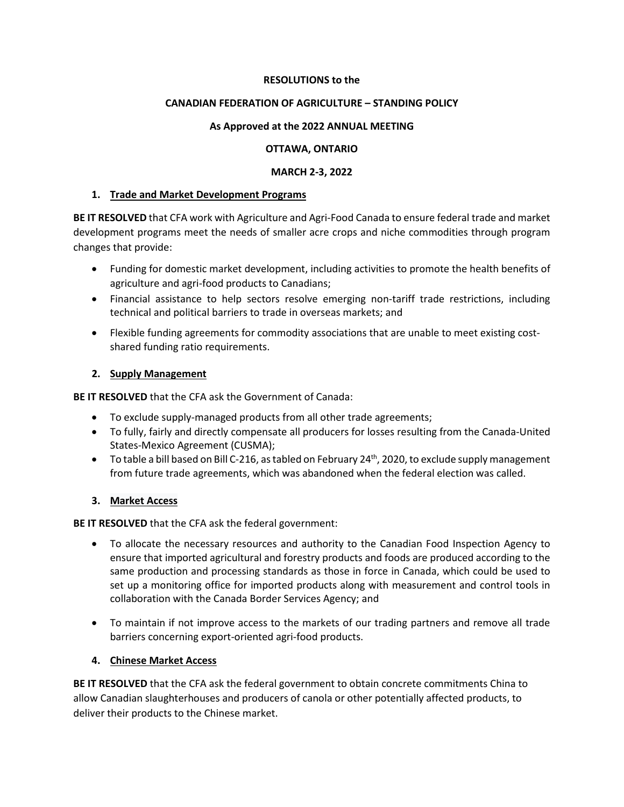#### **RESOLUTIONS to the**

#### **CANADIAN FEDERATION OF AGRICULTURE – STANDING POLICY**

#### **As Approved at the 2022 ANNUAL MEETING**

#### **OTTAWA, ONTARIO**

#### **MARCH 2-3, 2022**

#### **1. Trade and Market Development Programs**

**BE IT RESOLVED** that CFA work with Agriculture and Agri-Food Canada to ensure federal trade and market development programs meet the needs of smaller acre crops and niche commodities through program changes that provide:

- Funding for domestic market development, including activities to promote the health benefits of agriculture and agri-food products to Canadians;
- Financial assistance to help sectors resolve emerging non-tariff trade restrictions, including technical and political barriers to trade in overseas markets; and
- Flexible funding agreements for commodity associations that are unable to meet existing costshared funding ratio requirements.

#### **2. Supply Management**

**BE IT RESOLVED** that the CFA ask the Government of Canada:

- To exclude supply-managed products from all other trade agreements;
- To fully, fairly and directly compensate all producers for losses resulting from the Canada-United States-Mexico Agreement (CUSMA);
- To table a bill based on Bill C-216, as tabled on February 24<sup>th</sup>, 2020, to exclude supply management from future trade agreements, which was abandoned when the federal election was called.

#### **3. Market Access**

**BE IT RESOLVED** that the CFA ask the federal government:

- To allocate the necessary resources and authority to the Canadian Food Inspection Agency to ensure that imported agricultural and forestry products and foods are produced according to the same production and processing standards as those in force in Canada, which could be used to set up a monitoring office for imported products along with measurement and control tools in collaboration with the Canada Border Services Agency; and
- To maintain if not improve access to the markets of our trading partners and remove all trade barriers concerning export-oriented agri-food products.

## **4. Chinese Market Access**

**BE IT RESOLVED** that the CFA ask the federal government to obtain concrete commitments China to allow Canadian slaughterhouses and producers of canola or other potentially affected products, to deliver their products to the Chinese market.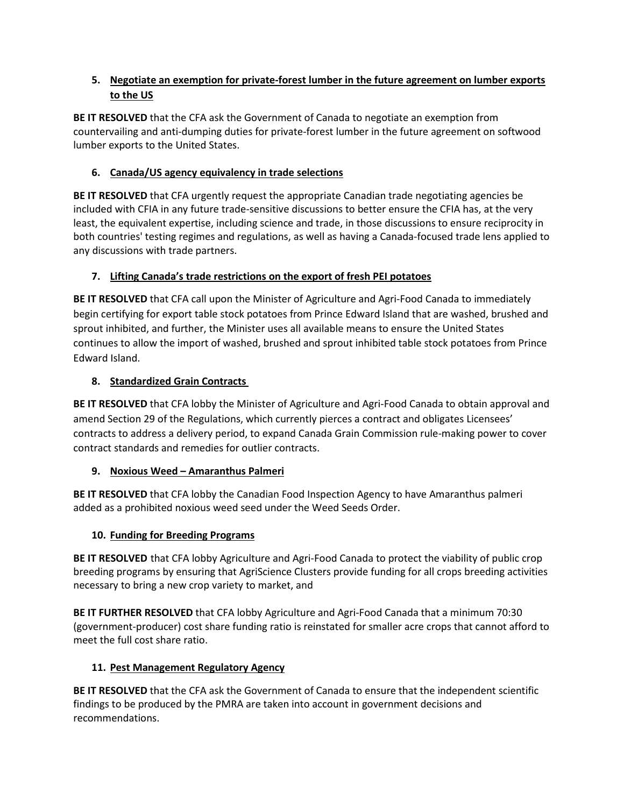## **5. Negotiate an exemption for private-forest lumber in the future agreement on lumber exports to the US**

**BE IT RESOLVED** that the CFA ask the Government of Canada to negotiate an exemption from countervailing and anti-dumping duties for private-forest lumber in the future agreement on softwood lumber exports to the United States.

## **6. Canada/US agency equivalency in trade selections**

**BE IT RESOLVED** that CFA urgently request the appropriate Canadian trade negotiating agencies be included with CFIA in any future trade-sensitive discussions to better ensure the CFIA has, at the very least, the equivalent expertise, including science and trade, in those discussions to ensure reciprocity in both countries' testing regimes and regulations, as well as having a Canada-focused trade lens applied to any discussions with trade partners.

## **7. Lifting Canada's trade restrictions on the export of fresh PEI potatoes**

**BE IT RESOLVED** that CFA call upon the Minister of Agriculture and Agri-Food Canada to immediately begin certifying for export table stock potatoes from Prince Edward Island that are washed, brushed and sprout inhibited, and further, the Minister uses all available means to ensure the United States continues to allow the import of washed, brushed and sprout inhibited table stock potatoes from Prince Edward Island.

## **8. Standardized Grain Contracts**

**BE IT RESOLVED** that CFA lobby the Minister of Agriculture and Agri-Food Canada to obtain approval and amend Section 29 of the Regulations, which currently pierces a contract and obligates Licensees' contracts to address a delivery period, to expand Canada Grain Commission rule-making power to cover contract standards and remedies for outlier contracts.

## **9. Noxious Weed – Amaranthus Palmeri**

**BE IT RESOLVED** that CFA lobby the Canadian Food Inspection Agency to have Amaranthus palmeri added as a prohibited noxious weed seed under the Weed Seeds Order.

## **10. Funding for Breeding Programs**

**BE IT RESOLVED** that CFA lobby Agriculture and Agri-Food Canada to protect the viability of public crop breeding programs by ensuring that AgriScience Clusters provide funding for all crops breeding activities necessary to bring a new crop variety to market, and

**BE IT FURTHER RESOLVED** that CFA lobby Agriculture and Agri-Food Canada that a minimum 70:30 (government-producer) cost share funding ratio is reinstated for smaller acre crops that cannot afford to meet the full cost share ratio.

# **11. Pest Management Regulatory Agency**

**BE IT RESOLVED** that the CFA ask the Government of Canada to ensure that the independent scientific findings to be produced by the PMRA are taken into account in government decisions and recommendations.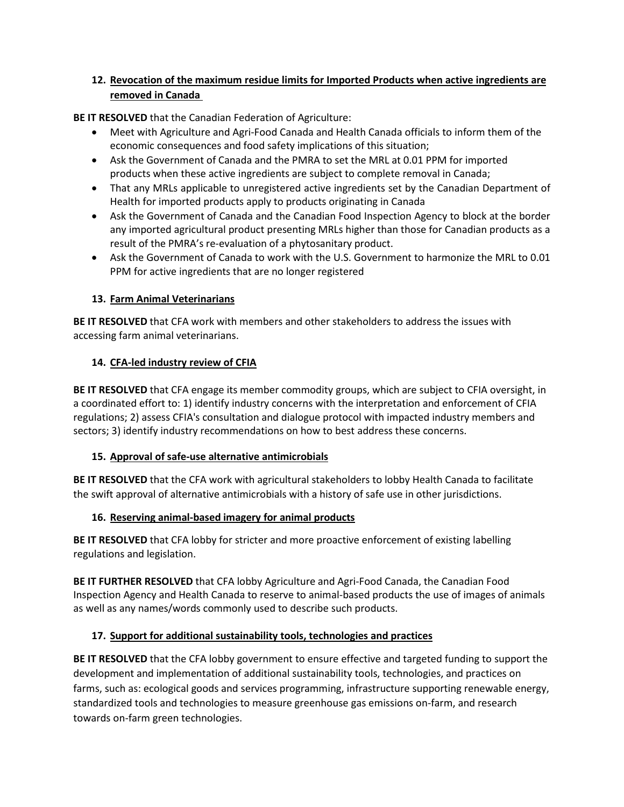## **12. Revocation of the maximum residue limits for Imported Products when active ingredients are removed in Canada**

**BE IT RESOLVED** that the Canadian Federation of Agriculture:

- Meet with Agriculture and Agri-Food Canada and Health Canada officials to inform them of the economic consequences and food safety implications of this situation;
- Ask the Government of Canada and the PMRA to set the MRL at 0.01 PPM for imported products when these active ingredients are subject to complete removal in Canada;
- That any MRLs applicable to unregistered active ingredients set by the Canadian Department of Health for imported products apply to products originating in Canada
- Ask the Government of Canada and the Canadian Food Inspection Agency to block at the border any imported agricultural product presenting MRLs higher than those for Canadian products as a result of the PMRA's re-evaluation of a phytosanitary product.
- Ask the Government of Canada to work with the U.S. Government to harmonize the MRL to 0.01 PPM for active ingredients that are no longer registered

## **13. Farm Animal Veterinarians**

**BE IT RESOLVED** that CFA work with members and other stakeholders to address the issues with accessing farm animal veterinarians.

## **14. CFA-led industry review of CFIA**

**BE IT RESOLVED** that CFA engage its member commodity groups, which are subject to CFIA oversight, in a coordinated effort to: 1) identify industry concerns with the interpretation and enforcement of CFIA regulations; 2) assess CFIA's consultation and dialogue protocol with impacted industry members and sectors; 3) identify industry recommendations on how to best address these concerns.

# **15. Approval of safe-use alternative antimicrobials**

**BE IT RESOLVED** that the CFA work with agricultural stakeholders to lobby Health Canada to facilitate the swift approval of alternative antimicrobials with a history of safe use in other jurisdictions.

# **16. Reserving animal-based imagery for animal products**

**BE IT RESOLVED** that CFA lobby for stricter and more proactive enforcement of existing labelling regulations and legislation.

**BE IT FURTHER RESOLVED** that CFA lobby Agriculture and Agri-Food Canada, the Canadian Food Inspection Agency and Health Canada to reserve to animal-based products the use of images of animals as well as any names/words commonly used to describe such products.

# **17. Support for additional sustainability tools, technologies and practices**

**BE IT RESOLVED** that the CFA lobby government to ensure effective and targeted funding to support the development and implementation of additional sustainability tools, technologies, and practices on farms, such as: ecological goods and services programming, infrastructure supporting renewable energy, standardized tools and technologies to measure greenhouse gas emissions on-farm, and research towards on-farm green technologies.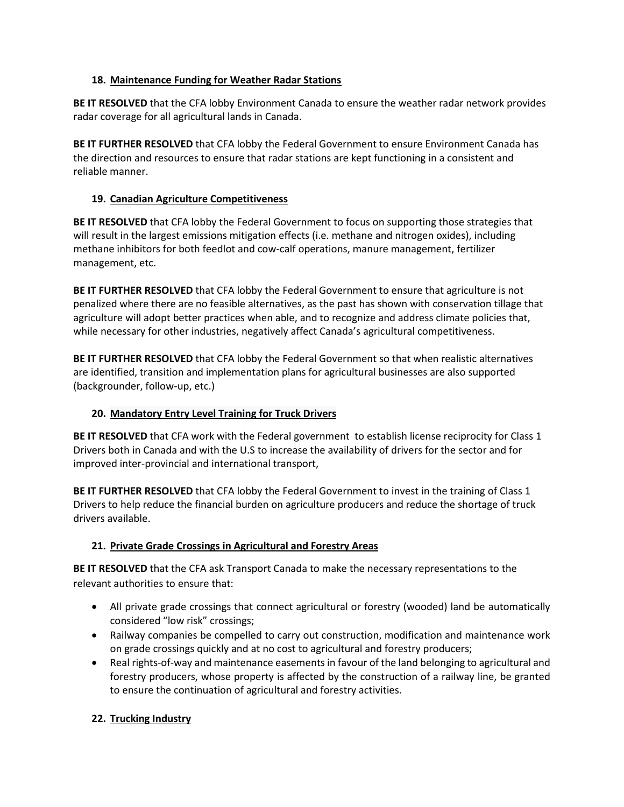## **18. Maintenance Funding for Weather Radar Stations**

**BE IT RESOLVED** that the CFA lobby Environment Canada to ensure the weather radar network provides radar coverage for all agricultural lands in Canada.

**BE IT FURTHER RESOLVED** that CFA lobby the Federal Government to ensure Environment Canada has the direction and resources to ensure that radar stations are kept functioning in a consistent and reliable manner.

#### **19. Canadian Agriculture Competitiveness**

**BE IT RESOLVED** that CFA lobby the Federal Government to focus on supporting those strategies that will result in the largest emissions mitigation effects (i.e. methane and nitrogen oxides), including methane inhibitors for both feedlot and cow-calf operations, manure management, fertilizer management, etc.

**BE IT FURTHER RESOLVED** that CFA lobby the Federal Government to ensure that agriculture is not penalized where there are no feasible alternatives, as the past has shown with conservation tillage that agriculture will adopt better practices when able, and to recognize and address climate policies that, while necessary for other industries, negatively affect Canada's agricultural competitiveness.

**BE IT FURTHER RESOLVED** that CFA lobby the Federal Government so that when realistic alternatives are identified, transition and implementation plans for agricultural businesses are also supported (backgrounder, follow-up, etc.)

## **20. Mandatory Entry Level Training for Truck Drivers**

**BE IT RESOLVED** that CFA work with the Federal government to establish license reciprocity for Class 1 Drivers both in Canada and with the U.S to increase the availability of drivers for the sector and for improved inter-provincial and international transport,

**BE IT FURTHER RESOLVED** that CFA lobby the Federal Government to invest in the training of Class 1 Drivers to help reduce the financial burden on agriculture producers and reduce the shortage of truck drivers available.

## **21. Private Grade Crossings in Agricultural and Forestry Areas**

**BE IT RESOLVED** that the CFA ask Transport Canada to make the necessary representations to the relevant authorities to ensure that:

- All private grade crossings that connect agricultural or forestry (wooded) land be automatically considered "low risk" crossings;
- Railway companies be compelled to carry out construction, modification and maintenance work on grade crossings quickly and at no cost to agricultural and forestry producers;
- Real rights-of-way and maintenance easements in favour of the land belonging to agricultural and forestry producers, whose property is affected by the construction of a railway line, be granted to ensure the continuation of agricultural and forestry activities.

## **22. Trucking Industry**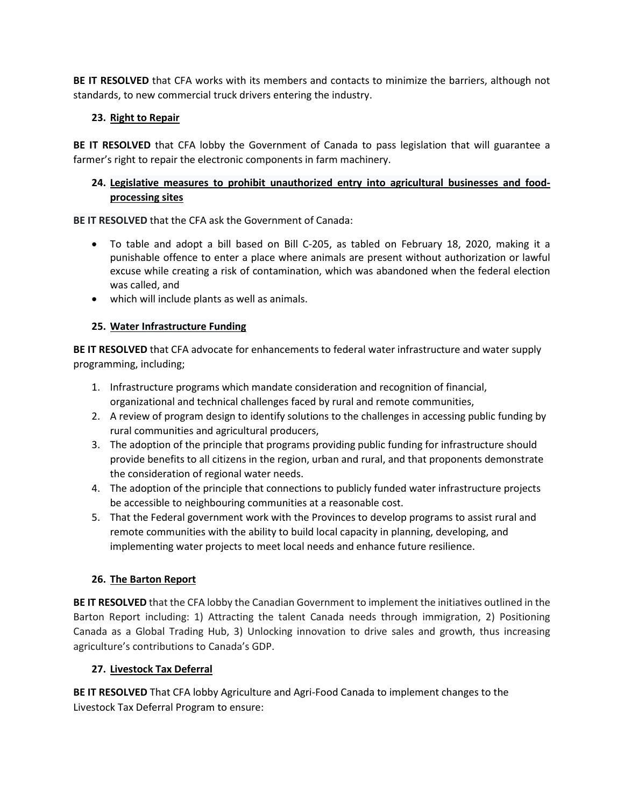**BE IT RESOLVED** that CFA works with its members and contacts to minimize the barriers, although not standards, to new commercial truck drivers entering the industry.

## **23. Right to Repair**

**BE IT RESOLVED** that CFA lobby the Government of Canada to pass legislation that will guarantee a farmer's right to repair the electronic components in farm machinery.

## **24. Legislative measures to prohibit unauthorized entry into agricultural businesses and foodprocessing sites**

**BE IT RESOLVED** that the CFA ask the Government of Canada:

- To table and adopt a bill based on Bill C-205, as tabled on February 18, 2020, making it a punishable offence to enter a place where animals are present without authorization or lawful excuse while creating a risk of contamination, which was abandoned when the federal election was called, and
- which will include plants as well as animals.

## **25. Water Infrastructure Funding**

**BE IT RESOLVED** that CFA advocate for enhancements to federal water infrastructure and water supply programming, including;

- 1. Infrastructure programs which mandate consideration and recognition of financial, organizational and technical challenges faced by rural and remote communities,
- 2. A review of program design to identify solutions to the challenges in accessing public funding by rural communities and agricultural producers,
- 3. The adoption of the principle that programs providing public funding for infrastructure should provide benefits to all citizens in the region, urban and rural, and that proponents demonstrate the consideration of regional water needs.
- 4. The adoption of the principle that connections to publicly funded water infrastructure projects be accessible to neighbouring communities at a reasonable cost.
- 5. That the Federal government work with the Provinces to develop programs to assist rural and remote communities with the ability to build local capacity in planning, developing, and implementing water projects to meet local needs and enhance future resilience.

## **26. The Barton Report**

**BE IT RESOLVED** that the CFA lobby the Canadian Government to implement the initiatives outlined in the Barton Report including: 1) Attracting the talent Canada needs through immigration, 2) Positioning Canada as a Global Trading Hub, 3) Unlocking innovation to drive sales and growth, thus increasing agriculture's contributions to Canada's GDP.

## **27. Livestock Tax Deferral**

**BE IT RESOLVED** That CFA lobby Agriculture and Agri-Food Canada to implement changes to the Livestock Tax Deferral Program to ensure: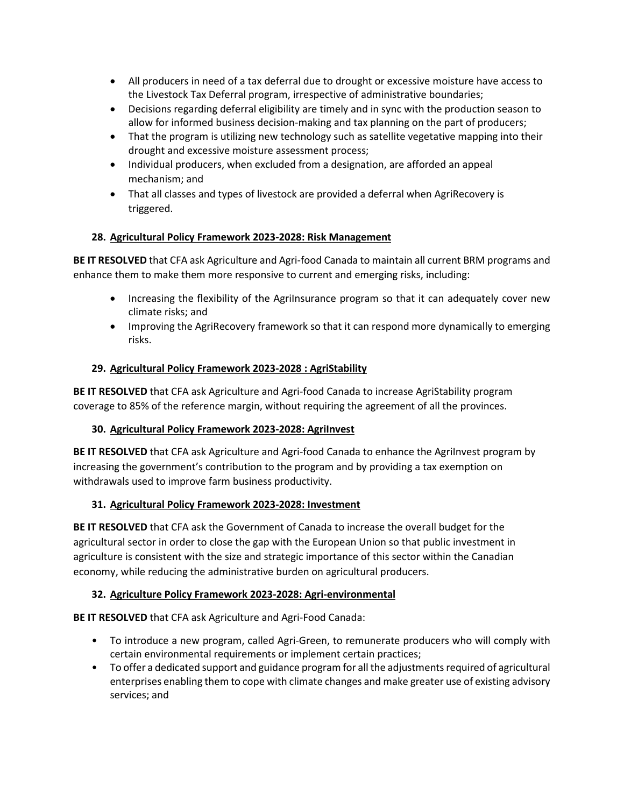- All producers in need of a tax deferral due to drought or excessive moisture have access to the Livestock Tax Deferral program, irrespective of administrative boundaries;
- Decisions regarding deferral eligibility are timely and in sync with the production season to allow for informed business decision-making and tax planning on the part of producers;
- That the program is utilizing new technology such as satellite vegetative mapping into their drought and excessive moisture assessment process;
- Individual producers, when excluded from a designation, are afforded an appeal mechanism; and
- That all classes and types of livestock are provided a deferral when AgriRecovery is triggered.

## **28. Agricultural Policy Framework 2023-2028: Risk Management**

**BE IT RESOLVED** that CFA ask Agriculture and Agri-food Canada to maintain all current BRM programs and enhance them to make them more responsive to current and emerging risks, including:

- Increasing the flexibility of the AgriInsurance program so that it can adequately cover new climate risks; and
- Improving the AgriRecovery framework so that it can respond more dynamically to emerging risks.

## **29. Agricultural Policy Framework 2023-2028 : AgriStability**

**BE IT RESOLVED** that CFA ask Agriculture and Agri-food Canada to increase AgriStability program coverage to 85% of the reference margin, without requiring the agreement of all the provinces.

## **30. Agricultural Policy Framework 2023-2028: AgriInvest**

**BE IT RESOLVED** that CFA ask Agriculture and Agri-food Canada to enhance the AgriInvest program by increasing the government's contribution to the program and by providing a tax exemption on withdrawals used to improve farm business productivity.

## **31. Agricultural Policy Framework 2023-2028: Investment**

**BE IT RESOLVED** that CFA ask the Government of Canada to increase the overall budget for the agricultural sector in order to close the gap with the European Union so that public investment in agriculture is consistent with the size and strategic importance of this sector within the Canadian economy, while reducing the administrative burden on agricultural producers.

## **32. Agriculture Policy Framework 2023-2028: Agri-environmental**

**BE IT RESOLVED** that CFA ask Agriculture and Agri-Food Canada:

- To introduce a new program, called Agri-Green, to remunerate producers who will comply with certain environmental requirements or implement certain practices;
- To offer a dedicated support and guidance program for all the adjustments required of agricultural enterprises enabling them to cope with climate changes and make greater use of existing advisory services; and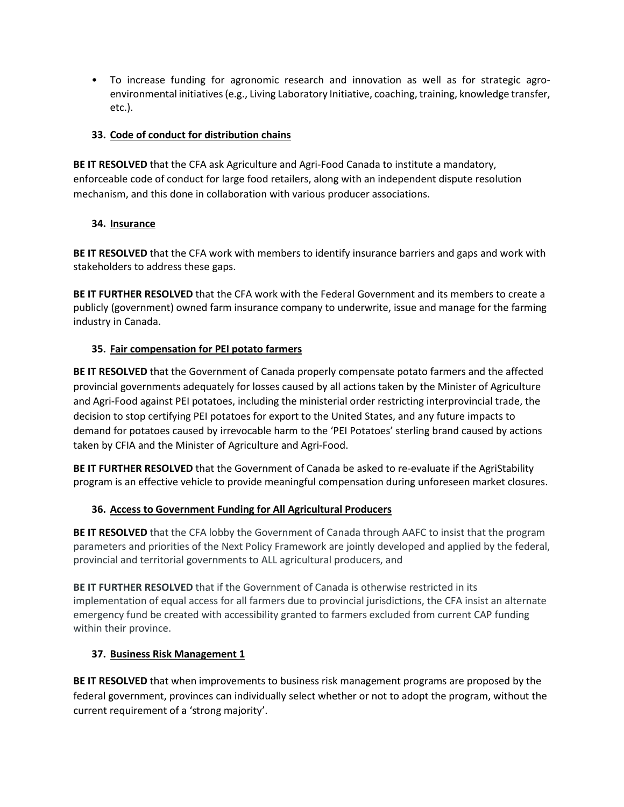• To increase funding for agronomic research and innovation as well as for strategic agroenvironmental initiatives (e.g., Living Laboratory Initiative, coaching, training, knowledge transfer, etc.).

## **33. Code of conduct for distribution chains**

**BE IT RESOLVED** that the CFA ask Agriculture and Agri-Food Canada to institute a mandatory, enforceable code of conduct for large food retailers, along with an independent dispute resolution mechanism, and this done in collaboration with various producer associations.

## **34. Insurance**

**BE IT RESOLVED** that the CFA work with members to identify insurance barriers and gaps and work with stakeholders to address these gaps.

**BE IT FURTHER RESOLVED** that the CFA work with the Federal Government and its members to create a publicly (government) owned farm insurance company to underwrite, issue and manage for the farming industry in Canada.

## **35. Fair compensation for PEI potato farmers**

**BE IT RESOLVED** that the Government of Canada properly compensate potato farmers and the affected provincial governments adequately for losses caused by all actions taken by the Minister of Agriculture and Agri-Food against PEI potatoes, including the ministerial order restricting interprovincial trade, the decision to stop certifying PEI potatoes for export to the United States, and any future impacts to demand for potatoes caused by irrevocable harm to the 'PEI Potatoes' sterling brand caused by actions taken by CFIA and the Minister of Agriculture and Agri-Food.

**BE IT FURTHER RESOLVED** that the Government of Canada be asked to re-evaluate if the AgriStability program is an effective vehicle to provide meaningful compensation during unforeseen market closures.

# **36. Access to Government Funding for All Agricultural Producers**

**BE IT RESOLVED** that the CFA lobby the Government of Canada through AAFC to insist that the program parameters and priorities of the Next Policy Framework are jointly developed and applied by the federal, provincial and territorial governments to ALL agricultural producers, and

**BE IT FURTHER RESOLVED** that if the Government of Canada is otherwise restricted in its implementation of equal access for all farmers due to provincial jurisdictions, the CFA insist an alternate emergency fund be created with accessibility granted to farmers excluded from current CAP funding within their province.

# **37. Business Risk Management 1**

**BE IT RESOLVED** that when improvements to business risk management programs are proposed by the federal government, provinces can individually select whether or not to adopt the program, without the current requirement of a 'strong majority'.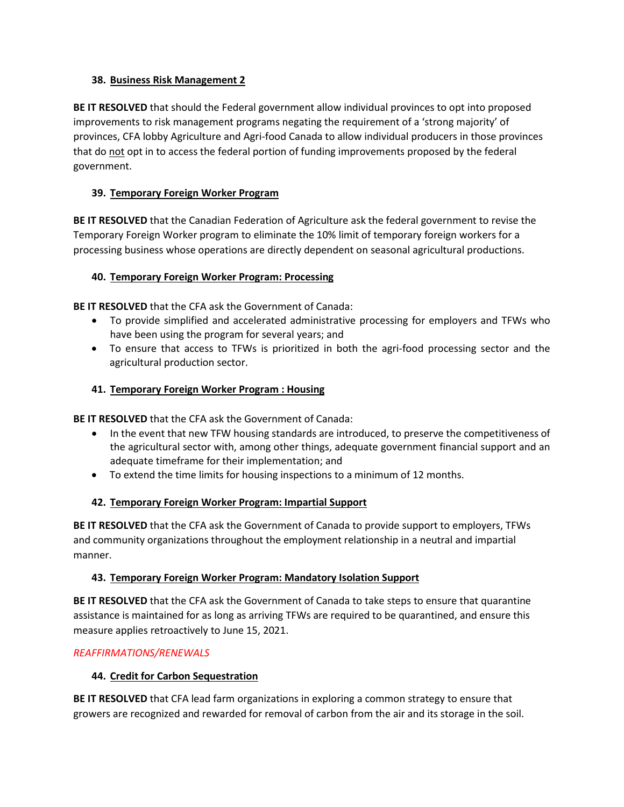#### **38. Business Risk Management 2**

**BE IT RESOLVED** that should the Federal government allow individual provinces to opt into proposed improvements to risk management programs negating the requirement of a 'strong majority' of provinces, CFA lobby Agriculture and Agri-food Canada to allow individual producers in those provinces that do not opt in to access the federal portion of funding improvements proposed by the federal government.

## **39. Temporary Foreign Worker Program**

**BE IT RESOLVED** that the Canadian Federation of Agriculture ask the federal government to revise the Temporary Foreign Worker program to eliminate the 10% limit of temporary foreign workers for a processing business whose operations are directly dependent on seasonal agricultural productions.

## **40. Temporary Foreign Worker Program: Processing**

**BE IT RESOLVED** that the CFA ask the Government of Canada:

- To provide simplified and accelerated administrative processing for employers and TFWs who have been using the program for several years; and
- To ensure that access to TFWs is prioritized in both the agri-food processing sector and the agricultural production sector.

## **41. Temporary Foreign Worker Program : Housing**

**BE IT RESOLVED** that the CFA ask the Government of Canada:

- In the event that new TFW housing standards are introduced, to preserve the competitiveness of the agricultural sector with, among other things, adequate government financial support and an adequate timeframe for their implementation; and
- To extend the time limits for housing inspections to a minimum of 12 months.

# **42. Temporary Foreign Worker Program: Impartial Support**

**BE IT RESOLVED** that the CFA ask the Government of Canada to provide support to employers, TFWs and community organizations throughout the employment relationship in a neutral and impartial manner.

## **43. Temporary Foreign Worker Program: Mandatory Isolation Support**

**BE IT RESOLVED** that the CFA ask the Government of Canada to take steps to ensure that quarantine assistance is maintained for as long as arriving TFWs are required to be quarantined, and ensure this measure applies retroactively to June 15, 2021.

## *REAFFIRMATIONS/RENEWALS*

## **44. Credit for Carbon Sequestration**

**BE IT RESOLVED** that CFA lead farm organizations in exploring a common strategy to ensure that growers are recognized and rewarded for removal of carbon from the air and its storage in the soil.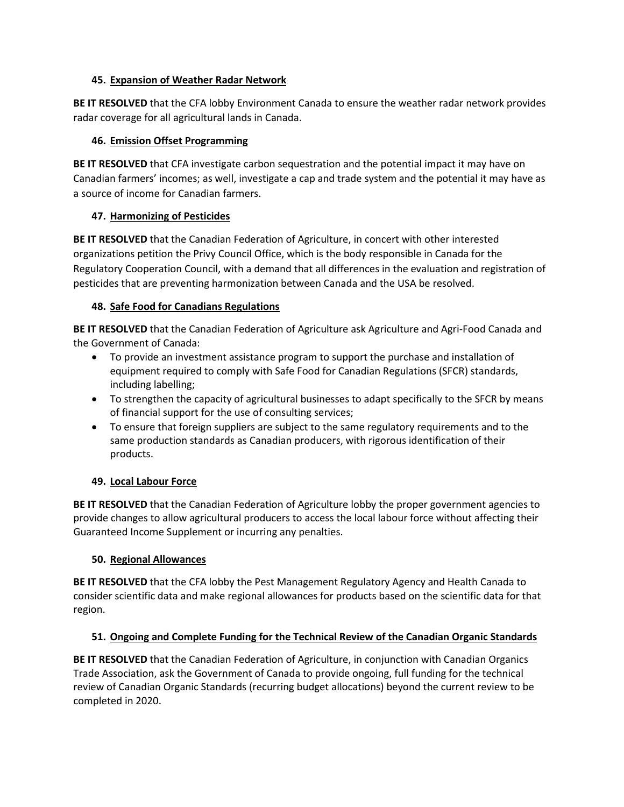#### **45. Expansion of Weather Radar Network**

**BE IT RESOLVED** that the CFA lobby Environment Canada to ensure the weather radar network provides radar coverage for all agricultural lands in Canada.

## **46. Emission Offset Programming**

**BE IT RESOLVED** that CFA investigate carbon sequestration and the potential impact it may have on Canadian farmers' incomes; as well, investigate a cap and trade system and the potential it may have as a source of income for Canadian farmers.

## **47. Harmonizing of Pesticides**

**BE IT RESOLVED** that the Canadian Federation of Agriculture, in concert with other interested organizations petition the Privy Council Office, which is the body responsible in Canada for the Regulatory Cooperation Council, with a demand that all differences in the evaluation and registration of pesticides that are preventing harmonization between Canada and the USA be resolved.

## **48. Safe Food for Canadians Regulations**

**BE IT RESOLVED** that the Canadian Federation of Agriculture ask Agriculture and Agri-Food Canada and the Government of Canada:

- To provide an investment assistance program to support the purchase and installation of equipment required to comply with Safe Food for Canadian Regulations (SFCR) standards, including labelling;
- To strengthen the capacity of agricultural businesses to adapt specifically to the SFCR by means of financial support for the use of consulting services;
- To ensure that foreign suppliers are subject to the same regulatory requirements and to the same production standards as Canadian producers, with rigorous identification of their products.

# **49. Local Labour Force**

**BE IT RESOLVED** that the Canadian Federation of Agriculture lobby the proper government agencies to provide changes to allow agricultural producers to access the local labour force without affecting their Guaranteed Income Supplement or incurring any penalties.

## **50. Regional Allowances**

**BE IT RESOLVED** that the CFA lobby the Pest Management Regulatory Agency and Health Canada to consider scientific data and make regional allowances for products based on the scientific data for that region.

# **51. Ongoing and Complete Funding for the Technical Review of the Canadian Organic Standards**

**BE IT RESOLVED** that the Canadian Federation of Agriculture, in conjunction with Canadian Organics Trade Association, ask the Government of Canada to provide ongoing, full funding for the technical review of Canadian Organic Standards (recurring budget allocations) beyond the current review to be completed in 2020.